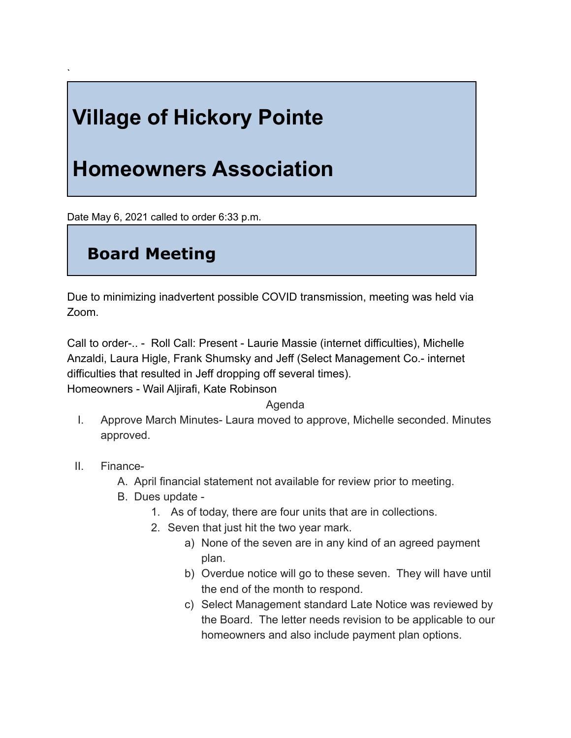## **Village of Hickory Pointe**

## **Homeowners Association**

Date May 6, 2021 called to order 6:33 p.m.

## **Board Meeting**

Due to minimizing inadvertent possible COVID transmission, meeting was held via Zoom.

Call to order-.. - Roll Call: Present - Laurie Massie (internet difficulties), Michelle Anzaldi, Laura Higle, Frank Shumsky and Jeff (Select Management Co.- internet difficulties that resulted in Jeff dropping off several times). Homeowners - Wail Aljirafi, Kate Robinson

Agenda

- I. Approve March Minutes- Laura moved to approve, Michelle seconded. Minutes approved.
- II. Finance-

`

- A. April financial statement not available for review prior to meeting.
- B. Dues update
	- 1. As of today, there are four units that are in collections.
	- 2. Seven that just hit the two year mark.
		- a) None of the seven are in any kind of an agreed payment plan.
		- b) Overdue notice will go to these seven. They will have until the end of the month to respond.
		- c) Select Management standard Late Notice was reviewed by the Board. The letter needs revision to be applicable to our homeowners and also include payment plan options.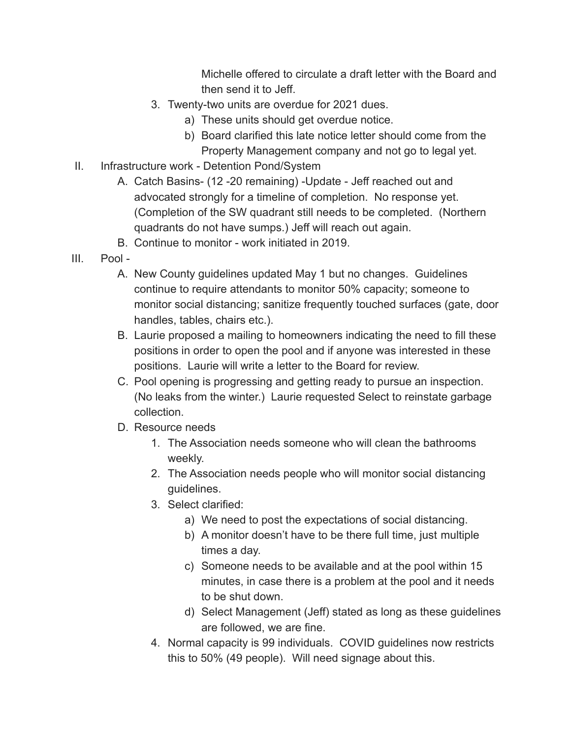Michelle offered to circulate a draft letter with the Board and then send it to Jeff.

- 3. Twenty-two units are overdue for 2021 dues.
	- a) These units should get overdue notice.
	- b) Board clarified this late notice letter should come from the Property Management company and not go to legal yet.
- II. Infrastructure work Detention Pond/System
	- A. Catch Basins- (12 -20 remaining) -Update Jeff reached out and advocated strongly for a timeline of completion. No response yet. (Completion of the SW quadrant still needs to be completed. (Northern quadrants do not have sumps.) Jeff will reach out again.
	- B. Continue to monitor work initiated in 2019.
- III. Pool
	- A. New County guidelines updated May 1 but no changes. Guidelines continue to require attendants to monitor 50% capacity; someone to monitor social distancing; sanitize frequently touched surfaces (gate, door handles, tables, chairs etc.).
	- B. Laurie proposed a mailing to homeowners indicating the need to fill these positions in order to open the pool and if anyone was interested in these positions. Laurie will write a letter to the Board for review.
	- C. Pool opening is progressing and getting ready to pursue an inspection. (No leaks from the winter.) Laurie requested Select to reinstate garbage collection.
	- D. Resource needs
		- 1. The Association needs someone who will clean the bathrooms weekly.
		- 2. The Association needs people who will monitor social distancing guidelines.
		- 3. Select clarified:
			- a) We need to post the expectations of social distancing.
			- b) A monitor doesn't have to be there full time, just multiple times a day.
			- c) Someone needs to be available and at the pool within 15 minutes, in case there is a problem at the pool and it needs to be shut down.
			- d) Select Management (Jeff) stated as long as these guidelines are followed, we are fine.
		- 4. Normal capacity is 99 individuals. COVID guidelines now restricts this to 50% (49 people). Will need signage about this.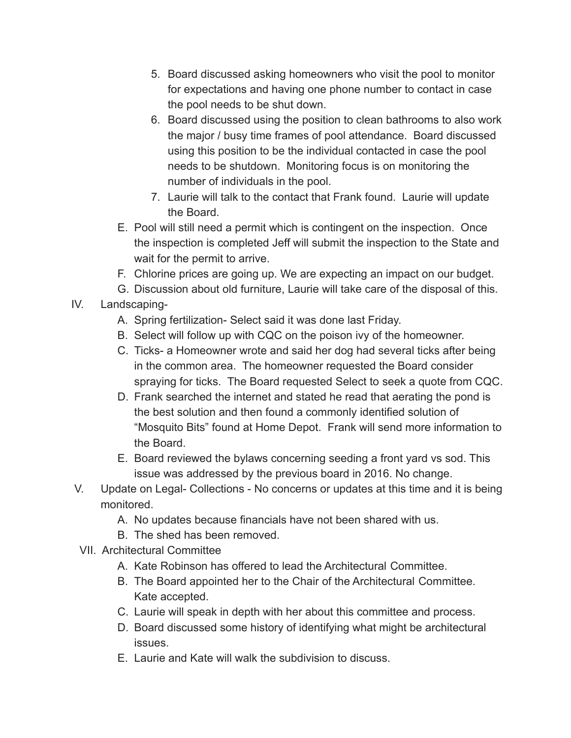- 5. Board discussed asking homeowners who visit the pool to monitor for expectations and having one phone number to contact in case the pool needs to be shut down.
- 6. Board discussed using the position to clean bathrooms to also work the major / busy time frames of pool attendance. Board discussed using this position to be the individual contacted in case the pool needs to be shutdown. Monitoring focus is on monitoring the number of individuals in the pool.
- 7. Laurie will talk to the contact that Frank found. Laurie will update the Board.
- E. Pool will still need a permit which is contingent on the inspection. Once the inspection is completed Jeff will submit the inspection to the State and wait for the permit to arrive.
- F. Chlorine prices are going up. We are expecting an impact on our budget.
- G. Discussion about old furniture, Laurie will take care of the disposal of this.
- IV. Landscaping-
	- A. Spring fertilization- Select said it was done last Friday.
	- B. Select will follow up with CQC on the poison ivy of the homeowner.
	- C. Ticks- a Homeowner wrote and said her dog had several ticks after being in the common area. The homeowner requested the Board consider spraying for ticks. The Board requested Select to seek a quote from CQC.
	- D. Frank searched the internet and stated he read that aerating the pond is the best solution and then found a commonly identified solution of "Mosquito Bits" found at Home Depot. Frank will send more information to the Board.
	- E. Board reviewed the bylaws concerning seeding a front yard vs sod. This issue was addressed by the previous board in 2016. No change.
- V. Update on Legal- Collections No concerns or updates at this time and it is being monitored.
	- A. No updates because financials have not been shared with us.
	- B. The shed has been removed.
- VII. Architectural Committee
	- A. Kate Robinson has offered to lead the Architectural Committee.
	- B. The Board appointed her to the Chair of the Architectural Committee. Kate accepted.
	- C. Laurie will speak in depth with her about this committee and process.
	- D. Board discussed some history of identifying what might be architectural issues.
	- E. Laurie and Kate will walk the subdivision to discuss.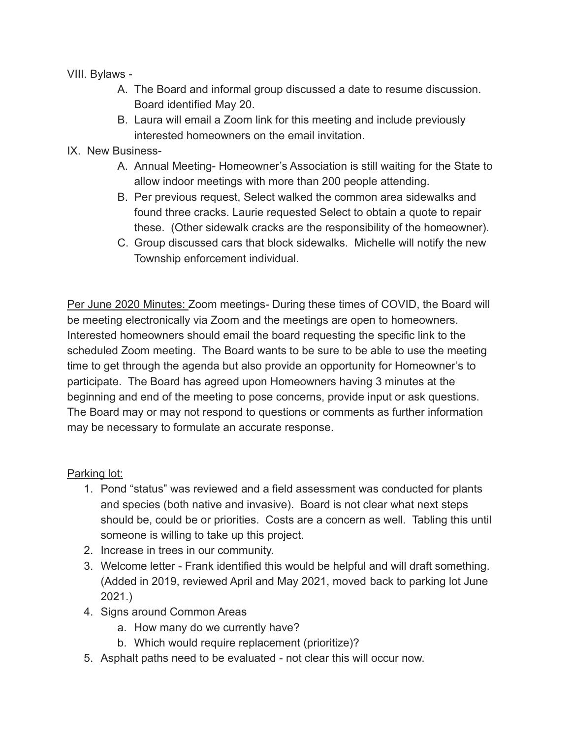VIII. Bylaws -

- A. The Board and informal group discussed a date to resume discussion. Board identified May 20.
- B. Laura will email a Zoom link for this meeting and include previously interested homeowners on the email invitation.
- IX. New Business-
	- A. Annual Meeting- Homeowner's Association is still waiting for the State to allow indoor meetings with more than 200 people attending.
	- B. Per previous request, Select walked the common area sidewalks and found three cracks. Laurie requested Select to obtain a quote to repair these. (Other sidewalk cracks are the responsibility of the homeowner).
	- C. Group discussed cars that block sidewalks. Michelle will notify the new Township enforcement individual.

Per June 2020 Minutes: Zoom meetings- During these times of COVID, the Board will be meeting electronically via Zoom and the meetings are open to homeowners. Interested homeowners should email the board requesting the specific link to the scheduled Zoom meeting. The Board wants to be sure to be able to use the meeting time to get through the agenda but also provide an opportunity for Homeowner's to participate. The Board has agreed upon Homeowners having 3 minutes at the beginning and end of the meeting to pose concerns, provide input or ask questions. The Board may or may not respond to questions or comments as further information may be necessary to formulate an accurate response.

Parking lot:

- 1. Pond "status" was reviewed and a field assessment was conducted for plants and species (both native and invasive). Board is not clear what next steps should be, could be or priorities. Costs are a concern as well. Tabling this until someone is willing to take up this project.
- 2. Increase in trees in our community.
- 3. Welcome letter Frank identified this would be helpful and will draft something. (Added in 2019, reviewed April and May 2021, moved back to parking lot June 2021.)
- 4. Signs around Common Areas
	- a. How many do we currently have?
	- b. Which would require replacement (prioritize)?
- 5. Asphalt paths need to be evaluated not clear this will occur now.